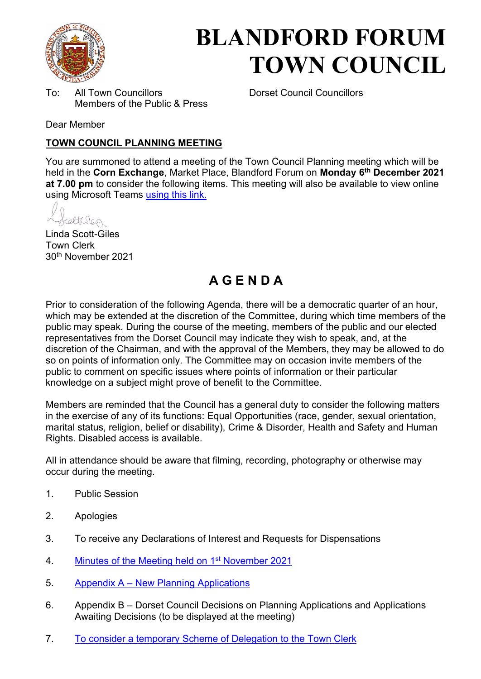

# **BLANDFORD FORUM TOWN COUNCIL**

To: All Town Councillors Dorset Council Councillors Members of the Public & Press

Dear Member

#### **TOWN COUNCIL PLANNING MEETING**

You are summoned to attend a meeting of the Town Council Planning meeting which will be held in the **Corn Exchange**, Market Place, Blandford Forum on **Monday 6th December 2021 at 7.00 pm** to consider the following items. This meeting will also be available to view online using Microsoft Teams [using this link.](https://teams.microsoft.com/l/meetup-join/19%3a2cb1b1f9de074efdad40308940ab9ba0%40thread.tacv2/1627294763738?context=%7b%22Tid%22%3a%223cd8f2fb-4c45-4162-86f1-fb87b5f6a138%22%2c%22Oid%22%3a%2265e5950c-ab1c-41cc-9090-4a755c733f54%22%7d)

celtures

Linda Scott-Giles Town Clerk 30th November 2021

## **A G E N D A**

Prior to consideration of the following Agenda, there will be a democratic quarter of an hour, which may be extended at the discretion of the Committee, during which time members of the public may speak. During the course of the meeting, members of the public and our elected representatives from the Dorset Council may indicate they wish to speak, and, at the discretion of the Chairman, and with the approval of the Members, they may be allowed to do so on points of information only. The Committee may on occasion invite members of the public to comment on specific issues where points of information or their particular knowledge on a subject might prove of benefit to the Committee.

Members are reminded that the Council has a general duty to consider the following matters in the exercise of any of its functions: Equal Opportunities (race, gender, sexual orientation, marital status, religion, belief or disability), Crime & Disorder, Health and Safety and Human Rights. Disabled access is available.

All in attendance should be aware that filming, recording, photography or otherwise may occur during the meeting.

- 1. Public Session
- 2. Apologies
- 3. To receive any Declarations of Interest and Requests for Dispensations
- 4. [Minutes of the Meeting held on 1](https://blandfordforum-tc.gov.uk/wp-content/uploads/2021/11/011121.pdf)<sup>st</sup> November 2021
- 5. Appendix A – [New Planning Applications](#page-2-0)
- 6. Appendix B Dorset Council Decisions on Planning Applications and Applications Awaiting Decisions (to be displayed at the meeting)
- 7. [To consider a temporary Scheme of Delegation to the Town Clerk](#page-4-0)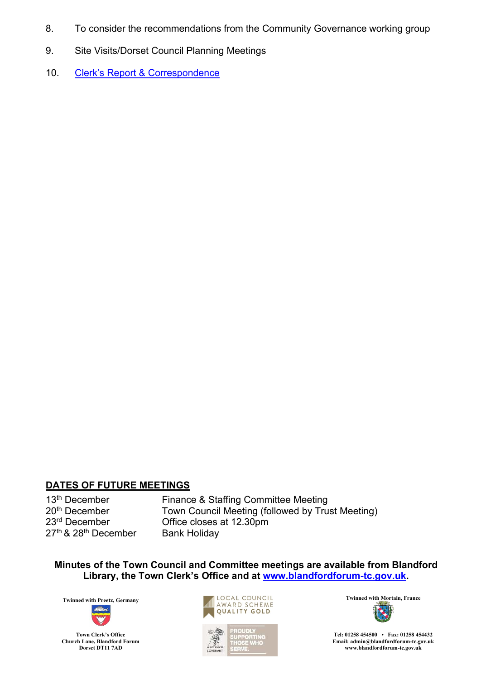- 8. To consider the recommendations from the Community Governance working group
- 9. Site Visits/Dorset Council Planning Meetings
- 10. [Clerk's Report & Corresponden](#page-6-0)ce

#### **DATES OF FUTURE MEETINGS**

27<sup>th</sup> & 28<sup>th</sup> December Bank Holiday

13<sup>th</sup> December Finance & Staffing Committee Meeting<br>20<sup>th</sup> December **France Committee Inc.** Town Council Meeting (followed by Tru  $20<sup>th</sup>$  December Town Council Meeting (followed by Trust Meeting)<br> $23<sup>rd</sup>$  December Office closes at 12.30pm Office closes at 12.30pm

**Minutes of the Town Council and Committee meetings are available from Blandford Library, the Town Clerk's Office and at [www.blandfordforum-tc.gov.uk.](http://www.blandfordforum-tc.gov.uk/)** 









**Tel: 01258 454500 • Fax: 01258 454432 Email: admin@blandfordforum-tc.gov.uk [www.blandfordforum-tc.gov.uk](http://www.blandfordforum-tc.gov.uk/)**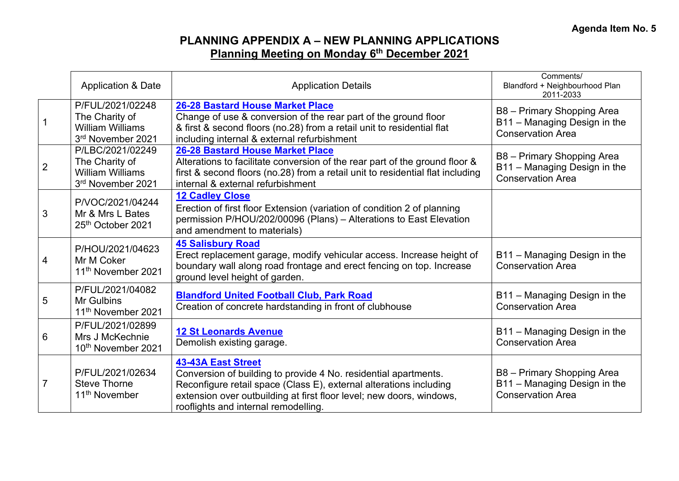## **PLANNING APPENDIX A – NEW PLANNING APPLICATIONS Planning Meeting on Monday 6th December 2021**

<span id="page-2-0"></span>

|                | <b>Application &amp; Date</b>                                                      | <b>Application Details</b>                                                                                                                                                                                                                                                         | Comments/<br>Blandford + Neighbourhood Plan<br>2011-2033                               |
|----------------|------------------------------------------------------------------------------------|------------------------------------------------------------------------------------------------------------------------------------------------------------------------------------------------------------------------------------------------------------------------------------|----------------------------------------------------------------------------------------|
|                | P/FUL/2021/02248<br>The Charity of<br><b>William Williams</b><br>3rd November 2021 | <b>26-28 Bastard House Market Place</b><br>Change of use & conversion of the rear part of the ground floor<br>& first & second floors (no.28) from a retail unit to residential flat<br>including internal & external refurbishment                                                | B8 - Primary Shopping Area<br>B11 - Managing Design in the<br><b>Conservation Area</b> |
| $\overline{2}$ | P/LBC/2021/02249<br>The Charity of<br><b>William Williams</b><br>3rd November 2021 | <b>26-28 Bastard House Market Place</b><br>Alterations to facilitate conversion of the rear part of the ground floor &<br>first & second floors (no.28) from a retail unit to residential flat including<br>internal & external refurbishment                                      | B8 - Primary Shopping Area<br>B11 - Managing Design in the<br><b>Conservation Area</b> |
| 3              | P/VOC/2021/04244<br>Mr & Mrs L Bates<br>25th October 2021                          | <b>12 Cadley Close</b><br>Erection of first floor Extension (variation of condition 2 of planning<br>permission P/HOU/202/00096 (Plans) - Alterations to East Elevation<br>and amendment to materials)                                                                             |                                                                                        |
| 4              | P/HOU/2021/04623<br>Mr M Coker<br>11 <sup>th</sup> November 2021                   | <b>45 Salisbury Road</b><br>Erect replacement garage, modify vehicular access. Increase height of<br>boundary wall along road frontage and erect fencing on top. Increase<br>ground level height of garden.                                                                        | B11 - Managing Design in the<br><b>Conservation Area</b>                               |
| 5              | P/FUL/2021/04082<br>Mr Gulbins<br>11 <sup>th</sup> November 2021                   | <b>Blandford United Football Club, Park Road</b><br>Creation of concrete hardstanding in front of clubhouse                                                                                                                                                                        | B11 - Managing Design in the<br><b>Conservation Area</b>                               |
| 6              | P/FUL/2021/02899<br>Mrs J McKechnie<br>10th November 2021                          | <b>12 St Leonards Avenue</b><br>Demolish existing garage.                                                                                                                                                                                                                          | B11 - Managing Design in the<br><b>Conservation Area</b>                               |
| $\overline{7}$ | P/FUL/2021/02634<br><b>Steve Thorne</b><br>11 <sup>th</sup> November               | <b>43-43A East Street</b><br>Conversion of building to provide 4 No. residential apartments.<br>Reconfigure retail space (Class E), external alterations including<br>extension over outbuilding at first floor level; new doors, windows,<br>rooflights and internal remodelling. | B8 - Primary Shopping Area<br>B11 - Managing Design in the<br><b>Conservation Area</b> |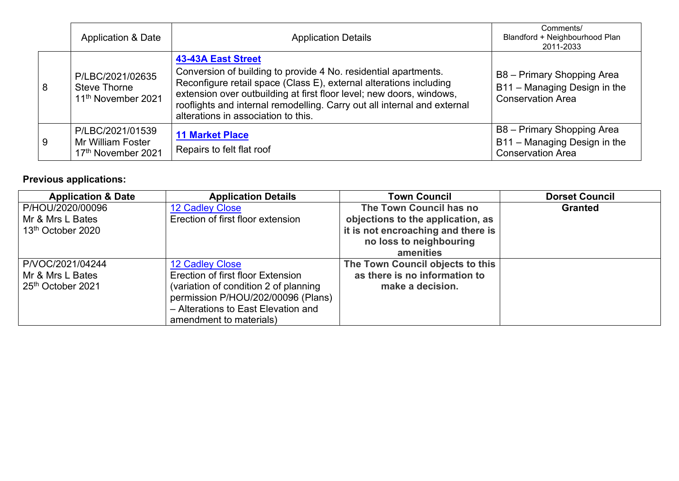|   | <b>Application &amp; Date</b>                                             | <b>Application Details</b>                                                                                                                                                                                                                                                                                                                                    | Comments/<br>Blandford + Neighbourhood Plan<br>2011-2033                               |
|---|---------------------------------------------------------------------------|---------------------------------------------------------------------------------------------------------------------------------------------------------------------------------------------------------------------------------------------------------------------------------------------------------------------------------------------------------------|----------------------------------------------------------------------------------------|
| 8 | P/LBC/2021/02635<br><b>Steve Thorne</b><br>11 <sup>th</sup> November 2021 | <b>43-43A East Street</b><br>Conversion of building to provide 4 No. residential apartments.<br>Reconfigure retail space (Class E), external alterations including<br>extension over outbuilding at first floor level; new doors, windows,<br>rooflights and internal remodelling. Carry out all internal and external<br>alterations in association to this. | B8 - Primary Shopping Area<br>B11 - Managing Design in the<br><b>Conservation Area</b> |
| 9 | P/LBC/2021/01539<br>Mr William Foster<br>17th November 2021               | <b>11 Market Place</b><br>Repairs to felt flat roof                                                                                                                                                                                                                                                                                                           | B8 - Primary Shopping Area<br>B11 - Managing Design in the<br><b>Conservation Area</b> |

## **Previous applications:**

| <b>Application &amp; Date</b> | <b>Application Details</b>            | <b>Town Council</b>                | <b>Dorset Council</b> |
|-------------------------------|---------------------------------------|------------------------------------|-----------------------|
| P/HOU/2020/00096              | <b>12 Cadley Close</b>                | The Town Council has no            | <b>Granted</b>        |
| Mr & Mrs L Bates              | Erection of first floor extension     | objections to the application, as  |                       |
| 13 <sup>th</sup> October 2020 |                                       | it is not encroaching and there is |                       |
|                               |                                       | no loss to neighbouring            |                       |
|                               |                                       | amenities                          |                       |
| P/VOC/2021/04244              | <b>12 Cadley Close</b>                | The Town Council objects to this   |                       |
| Mr & Mrs L Bates              | Erection of first floor Extension     | as there is no information to      |                       |
| 25th October 2021             | (variation of condition 2 of planning | make a decision.                   |                       |
|                               | permission P/HOU/202/00096 (Plans)    |                                    |                       |
|                               | - Alterations to East Elevation and   |                                    |                       |
|                               | amendment to materials)               |                                    |                       |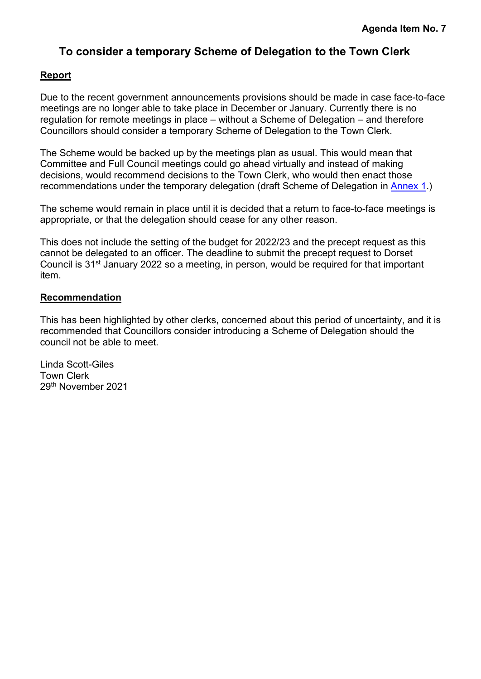### **To consider a temporary Scheme of Delegation to the Town Clerk**

#### <span id="page-4-0"></span>**Report**

Due to the recent government announcements provisions should be made in case face-to-face meetings are no longer able to take place in December or January. Currently there is no regulation for remote meetings in place – without a Scheme of Delegation – and therefore Councillors should consider a temporary Scheme of Delegation to the Town Clerk.

The Scheme would be backed up by the meetings plan as usual. This would mean that Committee and Full Council meetings could go ahead virtually and instead of making decisions, would recommend decisions to the Town Clerk, who would then enact those recommendations under the temporary delegation (draft Scheme of Delegation in Annex 1.)

The scheme would remain in place until it is decided that a return to face-to-face meetings is appropriate, or that the delegation should cease for any other reason.

This does not include the setting of the budget for 2022/23 and the precept request as this cannot be delegated to an officer. The deadline to submit the precept request to Dorset Council is 31<sup>st</sup> January 2022 so a meeting, in person, would be required for that important item.

#### **Recommendation**

This has been highlighted by other clerks, concerned about this period of uncertainty, and it is recommended that Councillors consider introducing a Scheme of Delegation should the council not be able to meet.

Linda Scott-Giles Town Clerk 29th November 2021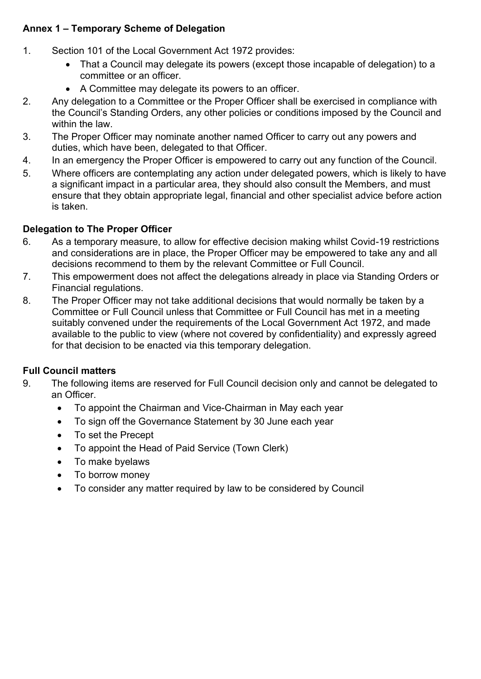#### **Annex 1 – Temporary Scheme of Delegation**

- 1. Section 101 of the Local Government Act 1972 provides:
	- That a Council may delegate its powers (except those incapable of delegation) to a committee or an officer.
	- A Committee may delegate its powers to an officer.
- 2. Any delegation to a Committee or the Proper Officer shall be exercised in compliance with the Council's Standing Orders, any other policies or conditions imposed by the Council and within the law.
- 3. The Proper Officer may nominate another named Officer to carry out any powers and duties, which have been, delegated to that Officer.
- 4. In an emergency the Proper Officer is empowered to carry out any function of the Council.
- 5. Where officers are contemplating any action under delegated powers, which is likely to have a significant impact in a particular area, they should also consult the Members, and must ensure that they obtain appropriate legal, financial and other specialist advice before action is taken.

#### **Delegation to The Proper Officer**

- 6. As a temporary measure, to allow for effective decision making whilst Covid-19 restrictions and considerations are in place, the Proper Officer may be empowered to take any and all decisions recommend to them by the relevant Committee or Full Council.
- 7. This empowerment does not affect the delegations already in place via Standing Orders or Financial regulations.
- 8. The Proper Officer may not take additional decisions that would normally be taken by a Committee or Full Council unless that Committee or Full Council has met in a meeting suitably convened under the requirements of the Local Government Act 1972, and made available to the public to view (where not covered by confidentiality) and expressly agreed for that decision to be enacted via this temporary delegation.

#### **Full Council matters**

- 9. The following items are reserved for Full Council decision only and cannot be delegated to an Officer.
	- To appoint the Chairman and Vice-Chairman in May each year
	- To sign off the Governance Statement by 30 June each year
	- To set the Precept
	- To appoint the Head of Paid Service (Town Clerk)
	- To make byelaws
	- To borrow money
	- To consider any matter required by law to be considered by Council